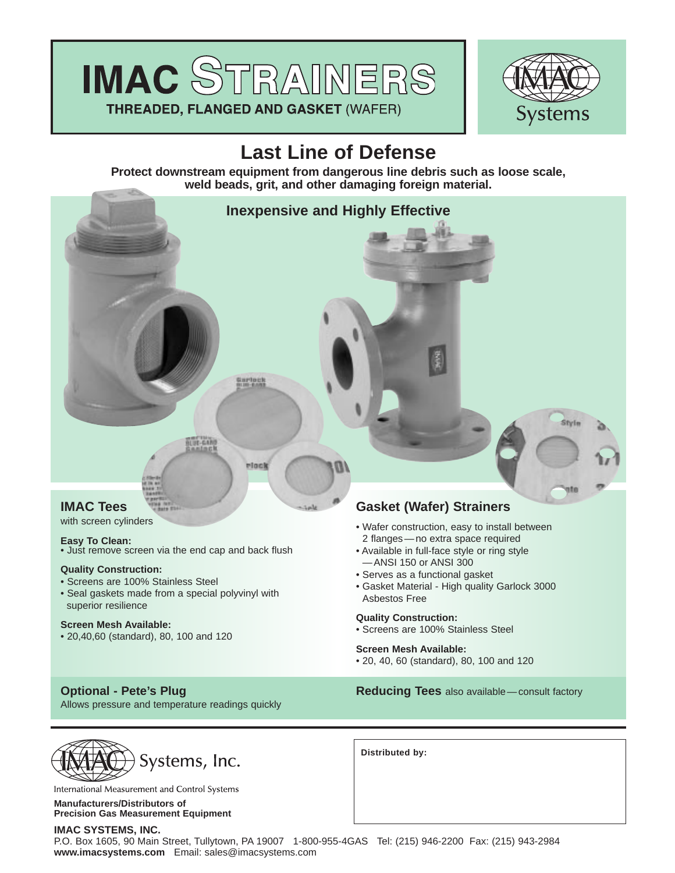



# **Last Line of Defense**

**Protect downstream equipment from dangerous line debris such as loose scale, weld beads, grit, and other damaging foreign material.**



with screen cylinders

### **Easy To Clean:**

• Just remove screen via the end cap and back flush

#### **Quality Construction:**

- Screens are 100% Stainless Steel
- Seal gaskets made from a special polyvinyl with superior resilience

#### **Screen Mesh Available:**

• 20,40,60 (standard), 80, 100 and 120

Allows pressure and temperature readings quickly

- Wafer construction, easy to install between 2 flanges — no extra space required
- Available in full-face style or ring style —ANSI 150 or ANSI 300
- Serves as a functional gasket
- Gasket Material High quality Garlock 3000 Asbestos Free

# **Quality Construction:**

• Screens are 100% Stainless Steel

#### **Screen Mesh Available:**

• 20, 40, 60 (standard), 80, 100 and 120

**Optional - Pete's Plug <b>Reducing Tees** also available — consult factory



International Measurement and Control Systems

**Manufacturers/Distributors of Precision Gas Measurement Equipment**

#### **IMAC SYSTEMS, INC.**

P.O. Box 1605, 90 Main Street, Tullytown, PA 19007 1-800-955-4GAS Tel: (215) 946-2200 Fax: (215) 943-2984 **www.imacsystems.com** Email: sales@imacsystems.com

**Distributed by:**